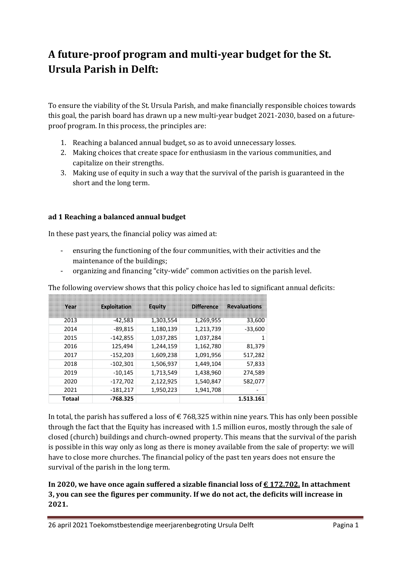# **A future-proof program and multi-year budget for the St. Ursula Parish in Delft:**

To ensure the viability of the St. Ursula Parish, and make financially responsible choices towards this goal, the parish board has drawn up a new multi-year budget 2021-2030, based on a futureproof program. In this process, the principles are:

- 1. Reaching a balanced annual budget, so as to avoid unnecessary losses.
- 2. Making choices that create space for enthusiasm in the various communities, and capitalize on their strengths.
- 3. Making use of equity in such a way that the survival of the parish is guaranteed in the short and the long term.

#### **ad 1 Reaching a balanced annual budget**

In these past years, the financial policy was aimed at:

- ensuring the functioning of the four communities, with their activities and the maintenance of the buildings;
- organizing and financing "city-wide" common activities on the parish level.

The following overview shows that this policy choice has led to significant annual deficits:

| Year   | <b>Exploitation</b> | Equity    | <b>Difference</b> | <b>Revaluations</b> |
|--------|---------------------|-----------|-------------------|---------------------|
| 2013   | $-42,583$           | 1,303,554 | 1,269,955         | 33,600              |
| 2014   | $-89,815$           | 1,180,139 | 1,213,739         | $-33,600$           |
| 2015   | $-142,855$          | 1,037,285 | 1,037,284         | 1                   |
| 2016   | 125,494             | 1,244,159 | 1,162,780         | 81,379              |
| 2017   | $-152,203$          | 1,609,238 | 1,091,956         | 517,282             |
| 2018   | $-102,301$          | 1,506,937 | 1,449,104         | 57,833              |
| 2019   | $-10,145$           | 1,713,549 | 1,438,960         | 274,589             |
| 2020   | $-172,702$          | 2,122,925 | 1,540,847         | 582,077             |
| 2021   | $-181,217$          | 1,950,223 | 1,941,708         |                     |
| Totaal | $-768.325$          |           |                   | 1.513.161           |

In total, the parish has suffered a loss of  $\epsilon$  768,325 within nine years. This has only been possible through the fact that the Equity has increased with 1.5 million euros, mostly through the sale of closed (church) buildings and church-owned property. This means that the survival of the parish is possible in this way only as long as there is money available from the sale of property: we will have to close more churches. The financial policy of the past ten years does not ensure the survival of the parish in the long term.

#### **In 2020, we have once again suffered a sizable financial loss of € 172.702. In attachment 3, you can see the figures per community. If we do not act, the deficits will increase in 2021.**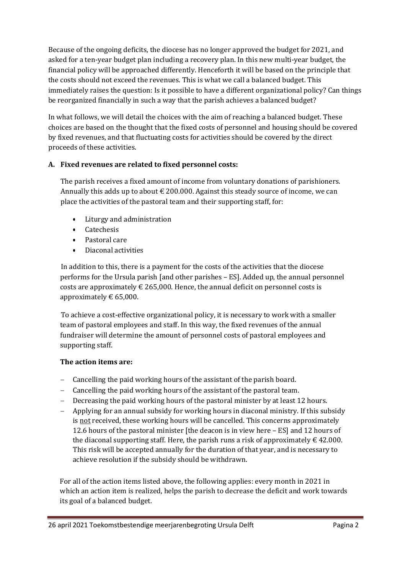Because of the ongoing deficits, the diocese has no longer approved the budget for 2021, and asked for a ten-year budget plan including a recovery plan. In this new multi-year budget, the financial policy will be approached differently. Henceforth it will be based on the principle that the costs should not exceed the revenues. This is what we call a balanced budget. This immediately raises the question: Is it possible to have a different organizational policy? Can things be reorganized financially in such a way that the parish achieves a balanced budget?

In what follows, we will detail the choices with the aim of reaching a balanced budget. These choices are based on the thought that the fixed costs of personnel and housing should be covered by fixed revenues, and that fluctuating costs for activities should be covered by the direct proceeds of these activities.

#### **A. Fixed revenues are related to fixed personnel costs:**

The parish receives a fixed amount of income from voluntary donations of parishioners. Annually this adds up to about  $\epsilon$  200.000. Against this steady source of income, we can place the activities of the pastoral team and their supporting staff, for:

- Liturgy and administration
- Catechesis
- Pastoral care
- Diaconal activities

In addition to this, there is a payment for the costs of the activities that the diocese performs for the Ursula parish [and other parishes – ES]. Added up, the annual personnel costs are approximately  $\in$  265,000. Hence, the annual deficit on personnel costs is approximately  $\text{\large\ensuremath{\in}} 65,000$ .

To achieve a cost-effective organizational policy, it is necessary to work with a smaller team of pastoral employees and staff. In this way, the fixed revenues of the annual fundraiser will determine the amount of personnel costs of pastoral employees and supporting staff.

#### **The action items are:**

- − Cancelling the paid working hours of the assistant of the parish board.
- − Cancelling the paid working hours of the assistant of the pastoral team.
- − Decreasing the paid working hours of the pastoral minister by at least 12 hours.
- − Applying for an annual subsidy for working hours in diaconal ministry. If this subsidy is not received, these working hours will be cancelled. This concerns approximately 12.6 hours of the pastoral minister [the deacon is in view here – ES] and 12 hours of the diaconal supporting staff. Here, the parish runs a risk of approximately  $\epsilon$  42.000. This risk will be accepted annually for the duration of that year, and is necessary to achieve resolution if the subsidy should be withdrawn.

For all of the action items listed above, the following applies: every month in 2021 in which an action item is realized, helps the parish to decrease the deficit and work towards its goal of a balanced budget.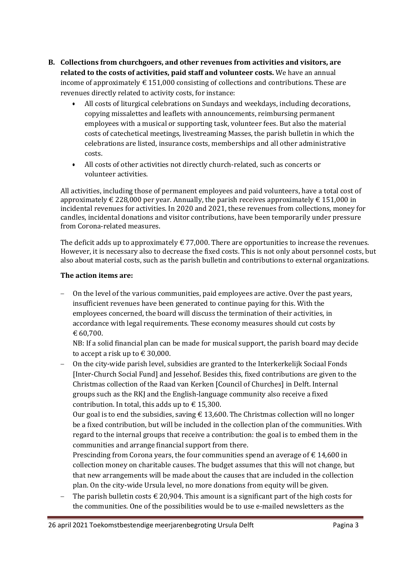- **B. Collections from churchgoers, and other revenues from activities and visitors, are related to the costs of activities, paid staff and volunteer costs.** We have an annual income of approximately  $\epsilon$  151,000 consisting of collections and contributions. These are revenues directly related to activity costs, for instance:
	- All costs of liturgical celebrations on Sundays and weekdays, including decorations, copying missalettes and leaflets with announcements, reimbursing permanent employees with a musical or supporting task, volunteer fees. But also the material costs of catechetical meetings, livestreaming Masses, the parish bulletin in which the celebrations are listed, insurance costs, memberships and all other administrative costs.
	- All costs of other activities not directly church-related, such as concerts or volunteer activities.

All activities, including those of permanent employees and paid volunteers, have a total cost of approximately  $\in$  228,000 per year. Annually, the parish receives approximately  $\in$  151,000 in incidental revenues for activities. In 2020 and 2021, these revenues from collections, money for candles, incidental donations and visitor contributions, have been temporarily under pressure from Corona-related measures.

The deficit adds up to approximately  $\in 77,000$ . There are opportunities to increase the revenues. However, it is necessary also to decrease the fixed costs. This is not only about personnel costs, but also about material costs, such as the parish bulletin and contributions to external organizations.

#### **The action items are:**

− On the level of the various communities, paid employees are active. Over the past years, insufficient revenues have been generated to continue paying for this. With the employees concerned, the board will discuss the termination of their activities, in accordance with legal requirements. These economy measures should cut costs by € 60,700.

NB: If a solid financial plan can be made for musical support, the parish board may decide to accept a risk up to  $\in$  30,000.

On the city-wide parish level, subsidies are granted to the Interkerkelijk Sociaal Fonds [Inter-Church Social Fund] and Jessehof. Besides this, fixed contributions are given to the Christmas collection of the Raad van Kerken [Council of Churches] in Delft. Internal groups such as the RKJ and the English-language community also receive a fixed contribution. In total, this adds up to  $\epsilon$  15,300.

Our goal is to end the subsidies, saving  $\epsilon$  13,600. The Christmas collection will no longer be a fixed contribution, but will be included in the collection plan of the communities. With regard to the internal groups that receive a contribution: the goal is to embed them in the communities and arrange financial support from there.

Prescinding from Corona years, the four communities spend an average of  $\epsilon$  14,600 in collection money on charitable causes. The budget assumes that this will not change, but that new arrangements will be made about the causes that are included in the collection plan. On the city-wide Ursula level, no more donations from equity will be given.

The parish bulletin costs  $\in$  20,904. This amount is a significant part of the high costs for the communities. One of the possibilities would be to use e-mailed newsletters as the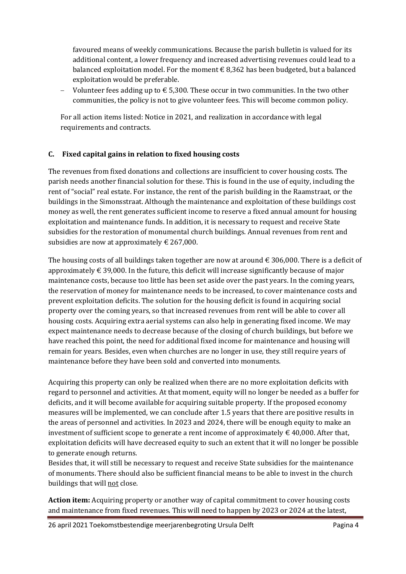favoured means of weekly communications. Because the parish bulletin is valued for its additional content, a lower frequency and increased advertising revenues could lead to a balanced exploitation model. For the moment  $\epsilon$  8,362 has been budgeted, but a balanced exploitation would be preferable.

Volunteer fees adding up to € 5,300. These occur in two communities. In the two other communities, the policy is not to give volunteer fees. This will become common policy.

For all action items listed: Notice in 2021, and realization in accordance with legal requirements and contracts.

#### **C. Fixed capital gains in relation to fixed housing costs**

The revenues from fixed donations and collections are insufficient to cover housing costs. The parish needs another financial solution for these. This is found in the use of equity, including the rent of "social" real estate. For instance, the rent of the parish building in the Raamstraat, or the buildings in the Simonsstraat. Although the maintenance and exploitation of these buildings cost money as well, the rent generates sufficient income to reserve a fixed annual amount for housing exploitation and maintenance funds. In addition, it is necessary to request and receive State subsidies for the restoration of monumental church buildings. Annual revenues from rent and subsidies are now at approximately  $\epsilon$  267,000.

The housing costs of all buildings taken together are now at around  $\epsilon$  306,000. There is a deficit of approximately  $\epsilon$  39,000. In the future, this deficit will increase significantly because of major maintenance costs, because too little has been set aside over the past years. In the coming years, the reservation of money for maintenance needs to be increased, to cover maintenance costs and prevent exploitation deficits. The solution for the housing deficit is found in acquiring social property over the coming years, so that increased revenues from rent will be able to cover all housing costs. Acquiring extra aerial systems can also help in generating fixed income. We may expect maintenance needs to decrease because of the closing of church buildings, but before we have reached this point, the need for additional fixed income for maintenance and housing will remain for years. Besides, even when churches are no longer in use, they still require years of maintenance before they have been sold and converted into monuments.

Acquiring this property can only be realized when there are no more exploitation deficits with regard to personnel and activities. At that moment, equity will no longer be needed as a buffer for deficits, and it will become available for acquiring suitable property. If the proposed economy measures will be implemented, we can conclude after 1.5 years that there are positive results in the areas of personnel and activities. In 2023 and 2024, there will be enough equity to make an investment of sufficient scope to generate a rent income of approximately  $\in$  40,000. After that, exploitation deficits will have decreased equity to such an extent that it will no longer be possible to generate enough returns.

Besides that, it will still be necessary to request and receive State subsidies for the maintenance of monuments. There should also be sufficient financial means to be able to invest in the church buildings that will not close.

**Action item:** Acquiring property or another way of capital commitment to cover housing costs and maintenance from fixed revenues. This will need to happen by 2023 or 2024 at the latest,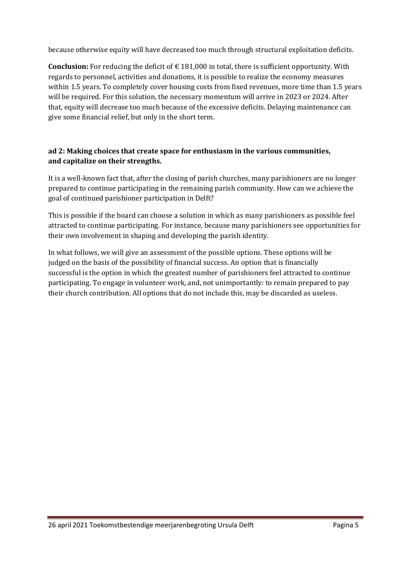because otherwise equity will have decreased too much through structural exploitation deficits.

**Conclusion:** For reducing the deficit of € 181,000 in total, there is sufficient opportunity. With regards to personnel, activities and donations, it is possible to realize the economy measures within 1.5 years. To completely cover housing costs from fixed revenues, more time than 1.5 years will be required. For this solution, the necessary momentum will arrive in 2023 or 2024. After that, equity will decrease too much because of the excessive deficits. Delaying maintenance can give some financial relief, but only in the short term.

#### **ad 2: Making choices that create space for enthusiasm in the various communities, and capitalize on their strengths.**

It is a well-known fact that, after the closing of parish churches, many parishioners are no longer prepared to continue participating in the remaining parish community. How can we achieve the goal of continued parishioner participation in Delft?

This is possible if the board can choose a solution in which as many parishioners as possible feel attracted to continue participating. For instance, because many parishioners see opportunities for their own involvement in shaping and developing the parish identity.

In what follows, we will give an assessment of the possible options. These options will be judged on the basis of the possibility of financial success. An option that is financially successful is the option in which the greatest number of parishioners feel attracted to continue participating. To engage in volunteer work, and, not unimportantly: to remain prepared to pay their church contribution. All options that do not include this, may be discarded as useless.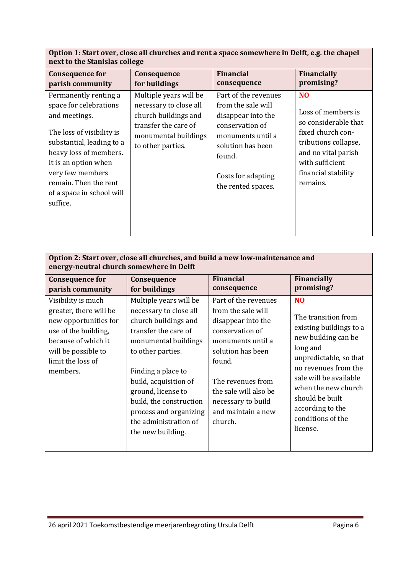| Option 1: Start over, close all churches and rent a space somewhere in Delft, e.g. the chapel |
|-----------------------------------------------------------------------------------------------|
| next to the Stanislas college                                                                 |

| <b>Consequence for</b>                                                                                                                                                                                                                                             | Consequence                                                                                                                                   | <b>Financial</b>                                                                                                                                                                    | <b>Financially</b>                                                                                                                                                                     |
|--------------------------------------------------------------------------------------------------------------------------------------------------------------------------------------------------------------------------------------------------------------------|-----------------------------------------------------------------------------------------------------------------------------------------------|-------------------------------------------------------------------------------------------------------------------------------------------------------------------------------------|----------------------------------------------------------------------------------------------------------------------------------------------------------------------------------------|
| parish community                                                                                                                                                                                                                                                   | for buildings                                                                                                                                 | consequence                                                                                                                                                                         | promising?                                                                                                                                                                             |
| Permanently renting a<br>space for celebrations<br>and meetings.<br>The loss of visibility is<br>substantial, leading to a<br>heavy loss of members.<br>It is an option when<br>very few members<br>remain. Then the rent<br>of a space in school will<br>suffice. | Multiple years will be<br>necessary to close all<br>church buildings and<br>transfer the care of<br>monumental buildings<br>to other parties. | Part of the revenues<br>from the sale will<br>disappear into the<br>conservation of<br>monuments until a<br>solution has been<br>found.<br>Costs for adapting<br>the rented spaces. | N <sub>O</sub><br>Loss of members is<br>so considerable that<br>fixed church con-<br>tributions collapse,<br>and no vital parish<br>with sufficient<br>financial stability<br>remains. |

| Option 2: Start over, close all churches, and build a new low-maintenance and<br>energy-neutral church somewhere in Delft                                                    |                                                                                                                                                                                                                                                                                                                       |                                                                                                                                                                                                                                              |                                                                                                                                                                                                                                                                                |  |  |  |  |  |  |
|------------------------------------------------------------------------------------------------------------------------------------------------------------------------------|-----------------------------------------------------------------------------------------------------------------------------------------------------------------------------------------------------------------------------------------------------------------------------------------------------------------------|----------------------------------------------------------------------------------------------------------------------------------------------------------------------------------------------------------------------------------------------|--------------------------------------------------------------------------------------------------------------------------------------------------------------------------------------------------------------------------------------------------------------------------------|--|--|--|--|--|--|
| <b>Consequence for</b><br>parish community                                                                                                                                   | Consequence<br>for buildings                                                                                                                                                                                                                                                                                          | <b>Financial</b><br>consequence                                                                                                                                                                                                              | <b>Financially</b><br>promising?                                                                                                                                                                                                                                               |  |  |  |  |  |  |
| Visibility is much<br>greater, there will be<br>new opportunities for<br>use of the building,<br>because of which it<br>will be possible to<br>limit the loss of<br>members. | Multiple years will be<br>necessary to close all<br>church buildings and<br>transfer the care of<br>monumental buildings<br>to other parties.<br>Finding a place to<br>build, acquisition of<br>ground, license to<br>build, the construction<br>process and organizing<br>the administration of<br>the new building. | Part of the revenues<br>from the sale will<br>disappear into the<br>conservation of<br>monuments until a<br>solution has been<br>found.<br>The revenues from<br>the sale will also be<br>necessary to build<br>and maintain a new<br>church. | N <sub>O</sub><br>The transition from<br>existing buildings to a<br>new building can be<br>long and<br>unpredictable, so that<br>no revenues from the<br>sale will be available<br>when the new church<br>should be built<br>according to the<br>conditions of the<br>license. |  |  |  |  |  |  |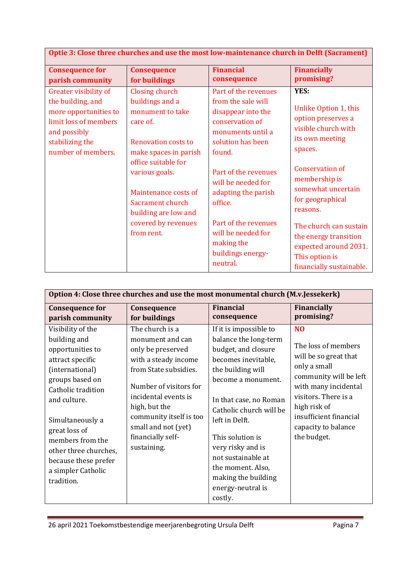| Optie 3: Close three churches and use the most low-maintenance church in Delft (Sacrament)                                                            |                                                                                                                                                                                                                                                                            |                                                                                                                                                                                                                                                                                     |                                                                                                                                                                                                                                                                                       |  |  |  |  |  |
|-------------------------------------------------------------------------------------------------------------------------------------------------------|----------------------------------------------------------------------------------------------------------------------------------------------------------------------------------------------------------------------------------------------------------------------------|-------------------------------------------------------------------------------------------------------------------------------------------------------------------------------------------------------------------------------------------------------------------------------------|---------------------------------------------------------------------------------------------------------------------------------------------------------------------------------------------------------------------------------------------------------------------------------------|--|--|--|--|--|
| <b>Consequence for</b><br>parish community                                                                                                            | <b>Consequence</b><br>for buildings                                                                                                                                                                                                                                        | <b>Financial</b><br>consequence                                                                                                                                                                                                                                                     | <b>Financially</b><br>promising?                                                                                                                                                                                                                                                      |  |  |  |  |  |
| Greater visibility of<br>the building, and<br>more opportunities to<br>limit loss of members<br>and possibly<br>stabilizing the<br>number of members. | Closing church<br>buildings and a<br>monument to take<br>care of.<br><b>Renovation costs to</b><br>make spaces in parish<br>office suitable for<br>various goals.<br>Maintenance costs of<br>Sacrament church<br>building are low and<br>covered by revenues<br>from rent. | Part of the revenues<br>from the sale will<br>disappear into the<br>conservation of<br>monuments until a<br>solution has been<br>found.<br>Part of the revenues<br>will be needed for<br>adapting the parish<br>office.<br>Part of the revenues<br>will be needed for<br>making the | YES:<br>Unlike Option 1, this<br>option preserves a<br>visible church with<br>its own meeting<br>spaces.<br><b>Conservation of</b><br>membership is<br>somewhat uncertain<br>for geographical<br>reasons.<br>The church can sustain<br>the energy transition<br>expected around 2031. |  |  |  |  |  |
|                                                                                                                                                       |                                                                                                                                                                                                                                                                            | buildings energy-<br>neutral.                                                                                                                                                                                                                                                       | This option is<br>financially sustainable.                                                                                                                                                                                                                                            |  |  |  |  |  |

| Option 4: Close three churches and use the most monumental church (M.v.Jessekerk)                                                                                                                                                                                                                   |                                                                                                                                                                                                                                                                    |                                                                                                                                                                                                                                                                                                                                                            |                                                                                                                                                                                                                                          |  |  |  |  |  |  |
|-----------------------------------------------------------------------------------------------------------------------------------------------------------------------------------------------------------------------------------------------------------------------------------------------------|--------------------------------------------------------------------------------------------------------------------------------------------------------------------------------------------------------------------------------------------------------------------|------------------------------------------------------------------------------------------------------------------------------------------------------------------------------------------------------------------------------------------------------------------------------------------------------------------------------------------------------------|------------------------------------------------------------------------------------------------------------------------------------------------------------------------------------------------------------------------------------------|--|--|--|--|--|--|
| <b>Consequence for</b><br>parish community                                                                                                                                                                                                                                                          | Consequence<br>for buildings                                                                                                                                                                                                                                       | <b>Financial</b><br>consequence                                                                                                                                                                                                                                                                                                                            | <b>Financially</b><br>promising?                                                                                                                                                                                                         |  |  |  |  |  |  |
| Visibility of the<br>building and<br>opportunities to<br>attract specific<br>(international)<br>groups based on<br>Catholic tradition<br>and culture.<br>Simultaneously a<br>great loss of<br>members from the<br>other three churches,<br>because these prefer<br>a simpler Catholic<br>tradition. | The church is a<br>monument and can<br>only be preserved<br>with a steady income<br>from State subsidies.<br>Number of visitors for<br>incidental events is<br>high, but the<br>community itself is too<br>small and not (yet)<br>financially self-<br>sustaining. | If it is impossible to<br>balance the long-term<br>budget, and closure<br>becomes inevitable,<br>the building will<br>become a monument.<br>In that case, no Roman<br>Catholic church will be<br>left in Delft.<br>This solution is<br>very risky and is<br>not sustainable at<br>the moment. Also,<br>making the building<br>energy-neutral is<br>costly. | N <sub>O</sub><br>The loss of members<br>will be so great that<br>only a small<br>community will be left<br>with many incidental<br>visitors. There is a<br>high risk of<br>insufficient financial<br>capacity to balance<br>the budget. |  |  |  |  |  |  |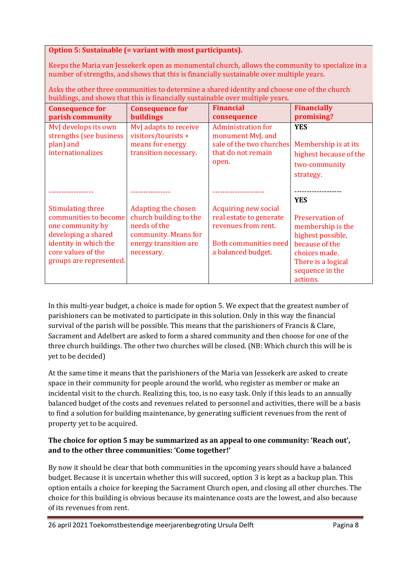#### **Option 5: Sustainable (= variant with most participants).**

Keeps the Maria van Jessekerk open as monumental church, allows the community to specialize in a number of strengths, and shows that this is financially sustainable over multiple years.

| banam <sub>p</sub> o, and ono wo that this is midnemity sustainable over martiple years.                                                                               |                                                                                                                                     |                                                                                                                                     |                                                                                                                                                   |  |  |  |  |  |
|------------------------------------------------------------------------------------------------------------------------------------------------------------------------|-------------------------------------------------------------------------------------------------------------------------------------|-------------------------------------------------------------------------------------------------------------------------------------|---------------------------------------------------------------------------------------------------------------------------------------------------|--|--|--|--|--|
| <b>Consequence for</b><br>parish community                                                                                                                             | <b>Consequence for</b><br>buildings                                                                                                 | <b>Financial</b><br>consequence                                                                                                     | <b>Financially</b><br>promising?                                                                                                                  |  |  |  |  |  |
| MvJ develops its own<br>strengths (see business<br>plan) and<br>internationalizes                                                                                      | MvJ adapts to receive<br>visitors/tourists +<br>means for energy<br>transition necessary.                                           | <b>Administration for</b><br>monument MvJ, and<br>sale of the two churches<br>that do not remain<br>open.                           | <b>YES</b><br>Membership is at its<br>highest because of the<br>two-community<br>strategy.                                                        |  |  |  |  |  |
|                                                                                                                                                                        |                                                                                                                                     |                                                                                                                                     | <b>YES</b>                                                                                                                                        |  |  |  |  |  |
| <b>Stimulating three</b><br>communities to become<br>one community by<br>developing a shared<br>identity in which the<br>core values of the<br>groups are represented. | <b>Adapting the chosen</b><br>church building to the<br>needs of the<br>community. Means for<br>energy transition are<br>necessary. | <b>Acquiring new social</b><br>real estate to generate<br>revenues from rent.<br><b>Both communities need</b><br>a balanced budget. | Preservation of<br>membership is the<br>highest possible,<br>because of the<br>choices made.<br>There is a logical<br>sequence in the<br>actions. |  |  |  |  |  |

Asks the other three communities to determine a shared identity and choose one of the church buildings, and shows that this is financially sustainable over multiple years.

In this multi-year budget, a choice is made for option 5. We expect that the greatest number of parishioners can be motivated to participate in this solution. Only in this way the financial survival of the parish will be possible. This means that the parishioners of Francis & Clare, Sacrament and Adelbert are asked to form a shared community and then choose for one of the three church buildings. The other two churches will be closed. (NB: Which church this will be is yet to be decided)

At the same time it means that the parishioners of the Maria van Jessekerk are asked to create space in their community for people around the world, who register as member or make an incidental visit to the church. Realizing this, too, is no easy task. Only if this leads to an annually balanced budget of the costs and revenues related to personnel and activities, there will be a basis to find a solution for building maintenance, by generating sufficient revenues from the rent of property yet to be acquired.

#### **The choice for option 5 may be summarized as an appeal to one community: 'Reach out', and to the other three communities: 'Come together!'**

By now it should be clear that both communities in the upcoming years should have a balanced budget. Because it is uncertain whether this will succeed, option 3 is kept as a backup plan. This option entails a choice for keeping the Sacrament Church open, and closing all other churches. The choice for this building is obvious because its maintenance costs are the lowest, and also because of its revenues from rent.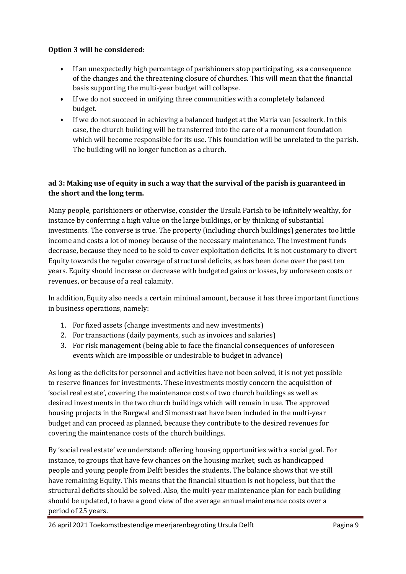#### **Option 3 will be considered:**

- If an unexpectedly high percentage of parishioners stop participating, as a consequence of the changes and the threatening closure of churches. This will mean that the financial basis supporting the multi-year budget will collapse.
- If we do not succeed in unifying three communities with a completely balanced budget.
- If we do not succeed in achieving a balanced budget at the Maria van Jessekerk. In this case, the church building will be transferred into the care of a monument foundation which will become responsible for its use. This foundation will be unrelated to the parish. The building will no longer function as a church.

#### **ad 3: Making use of equity in such a way that the survival of the parish is guaranteed in the short and the long term.**

Many people, parishioners or otherwise, consider the Ursula Parish to be infinitely wealthy, for instance by conferring a high value on the large buildings, or by thinking of substantial investments. The converse is true. The property (including church buildings) generates too little income and costs a lot of money because of the necessary maintenance. The investment funds decrease, because they need to be sold to cover exploitation deficits. It is not customary to divert Equity towards the regular coverage of structural deficits, as has been done over the past ten years. Equity should increase or decrease with budgeted gains or losses, by unforeseen costs or revenues, or because of a real calamity.

In addition, Equity also needs a certain minimal amount, because it has three important functions in business operations, namely:

- 1. For fixed assets (change investments and new investments)
- 2. For transactions (daily payments, such as invoices and salaries)
- 3. For risk management (being able to face the financial consequences of unforeseen events which are impossible or undesirable to budget in advance)

As long as the deficits for personnel and activities have not been solved, it is not yet possible to reserve finances for investments. These investments mostly concern the acquisition of 'social real estate', covering the maintenance costs of two church buildings as well as desired investments in the two church buildings which will remain in use. The approved housing projects in the Burgwal and Simonsstraat have been included in the multi-year budget and can proceed as planned, because they contribute to the desired revenues for covering the maintenance costs of the church buildings.

By 'social real estate' we understand: offering housing opportunities with a social goal. For instance, to groups that have few chances on the housing market, such as handicapped people and young people from Delft besides the students. The balance shows that we still have remaining Equity. This means that the financial situation is not hopeless, but that the structural deficits should be solved. Also, the multi-year maintenance plan for each building should be updated, to have a good view of the average annual maintenance costs over a period of 25 years.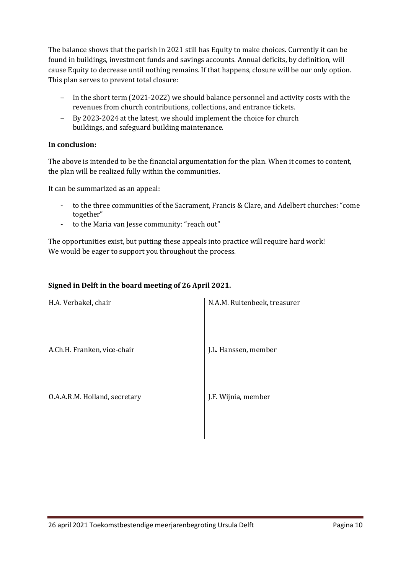The balance shows that the parish in 2021 still has Equity to make choices. Currently it can be found in buildings, investment funds and savings accounts. Annual deficits, by definition, will cause Equity to decrease until nothing remains. If that happens, closure will be our only option. This plan serves to prevent total closure:

- − In the short term (2021-2022) we should balance personnel and activity costs with the revenues from church contributions, collections, and entrance tickets.
- − By 2023-2024 at the latest, we should implement the choice for church buildings, and safeguard building maintenance.

#### **In conclusion:**

The above is intended to be the financial argumentation for the plan. When it comes to content, the plan will be realized fully within the communities.

It can be summarized as an appeal:

- to the three communities of the Sacrament, Francis & Clare, and Adelbert churches: "come together"
- to the Maria van Jesse community: "reach out"

The opportunities exist, but putting these appeals into practice will require hard work! We would be eager to support you throughout the process.

#### **Signed in Delft in the board meeting of 26 April 2021.**

| H.A. Verbakel, chair          | N.A.M. Ruitenbeek, treasurer |
|-------------------------------|------------------------------|
| A.Ch.H. Franken, vice-chair   | J.L. Hanssen, member         |
| O.A.A.R.M. Holland, secretary | J.F. Wijnia, member          |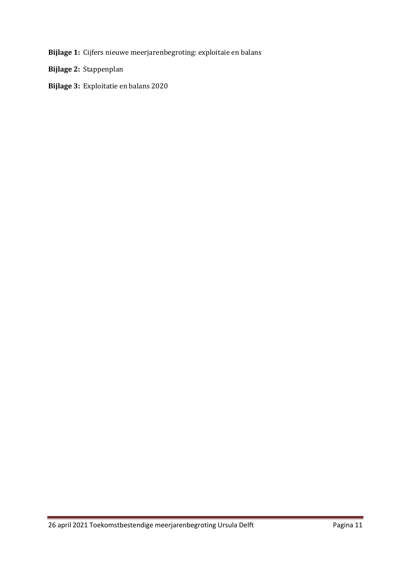**Bijlage 1:** Cijfers nieuwe meerjarenbegroting: exploitaie en balans

**Bijlage 2:** Stappenplan

**Bijlage 3:** Exploitatie en balans 2020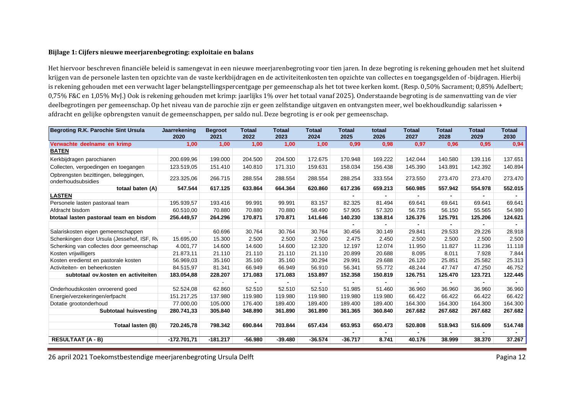#### **Bijlage 1: Cijfers nieuwe meerjarenbegroting: exploitaie en balans**

Het hiervoor beschreven financiële beleid is samengevat in een nieuwe meerjarenbegroting voor tien jaren. In deze begroting is rekening gehouden met het sluitend krijgen van de personele lasten ten opzichte van de vaste kerkbijdragen en de activiteitenkosten ten opzichte van collectes en toegangsgelden of -bijdragen. Hierbij is rekening gehouden met een verwacht lager belangstellingspercentgage per gemeenschap als het tot twee kerken komt. (Resp. 0,50% Sacrament; 0,85% Adelbert; 0,75% F&C en 1,05% MvJ.) Ook is rekening gehouden met krimp: jaarlijks 1% over het totaal vanaf 2025). Onderstaande begroting is de samenvatting van de vier deelbegrotingen per gemeenschap. Op het niveau van de parochie zijn er geen zelfstandige uitgaven en ontvangsten meer, wel boekhoudkundig: salarissen + afdracht en gelijke opbrengsten vanuit de gemeenschappen, per saldo nul. Deze begroting is er ook per gemeenschap.

| Begroting R.K. Parochie Sint Ursula                         | Jaarrekening<br>2020 | <b>Begroot</b><br>2021 | Totaal<br>2022 | Totaal<br>2023 | Totaal<br>2024 | <b>Totaal</b><br>2025 | totaal<br>2026 | Totaal<br>2027 | <b>Totaal</b><br>2028 | <b>Totaal</b><br>2029 | <b>Totaal</b><br>2030 |
|-------------------------------------------------------------|----------------------|------------------------|----------------|----------------|----------------|-----------------------|----------------|----------------|-----------------------|-----------------------|-----------------------|
| Verwachte deelname en krimp                                 | 1,00                 | 1,00                   | 1,00           | 1,00           | 1,00           | 0,99                  | 0,98           | 0,97           | 0,96                  | 0,95                  | 0,94                  |
| <b>BATEN</b>                                                |                      |                        |                |                |                |                       |                |                |                       |                       |                       |
| Kerkbijdragen parochianen                                   | 200.699,96           | 199.000                | 204.500        | 204.500        | 172.675        | 170.948               | 169.222        | 142.044        | 140.580               | 139.116               | 137.651               |
| Collecten, vergoedingen en toegangen                        | 123.519,05           | 151.410                | 140.810        | 171.310        | 159.631        | 158.034               | 156.438        | 145.390        | 143.891               | 142.392               | 140.894               |
| Opbrengsten bezittingen, beleggingen,<br>onderhoudsubsidies | 223.325,06           | 266.715                | 288.554        | 288.554        | 288.554        | 288.254               | 333.554        | 273.550        | 273.470               | 273.470               | 273.470               |
| totaal baten (A)                                            | 547.544              | 617.125                | 633.864        | 664.364        | 620.860        | 617.236               | 659.213        | 560.985        | 557.942               | 554.978               | 552.015               |
| <b>LASTEN</b>                                               |                      |                        |                |                |                |                       |                |                |                       |                       |                       |
| Personele lasten pastoraal team                             | 195.939,57           | 193.416                | 99.991         | 99.991         | 83.157         | 82.325                | 81.494         | 69.641         | 69.641                | 69.641                | 69.641                |
| Afdracht bisdom                                             | 60.510,00            | 70.880                 | 70.880         | 70.880         | 58.490         | 57.905                | 57.320         | 56.735         | 56.150                | 55.565                | 54.980                |
| btotaal lasten pastoraal team en bisdom                     | 256.449,57           | 264.296                | 170.871        | 170.871        | 141.646        | 140.230               | 138.814        | 126.376        | 125.791               | 125.206               | 124.621               |
|                                                             |                      |                        |                |                |                |                       |                |                |                       |                       |                       |
| Salariskosten eigen gemeenschappen                          |                      | 60.696                 | 30.764         | 30.764         | 30.764         | 30.456                | 30.149         | 29.841         | 29.533                | 29.226                | 28.918                |
| Schenkingen door Ursula (Jessehof, ISF, Ry                  | 15.695,00            | 15.300                 | 2.500          | 2.500          | 2.500          | 2.475                 | 2.450          | 2.500          | 2.500                 | 2.500                 | 2.500                 |
| Schenking van collectes door gemeenschap                    | 4.001.77             | 14.600                 | 14.600         | 14.600         | 12.320         | 12.197                | 12.074         | 11.950         | 11.827                | 11.236                | 11.118                |
| Kosten vrijwilligers                                        | 21.873,11            | 21.110                 | 21.110         | 21.110         | 21.110         | 20.899                | 20.688         | 8.095          | 8.011                 | 7.928                 | 7.844                 |
| Kosten eredienst en pastorale kosten                        | 56.969,03            | 35.160                 | 35.160         | 35.160         | 30.294         | 29.991                | 29.688         | 26.120         | 25.851                | 25.582                | 25.313                |
| Activiteiten- en beheerkosten                               | 84.515,97            | 81.341                 | 66.949         | 66.949         | 56.910         | 56.341                | 55.772         | 48.244         | 47.747                | 47.250                | 46.752                |
| subtotaal ov. kosten en activiteiten                        | 183.054,88           | 228.207                | 171.083        | 171.083        | 153.897        | 152.358               | 150.819        | 126.751        | 125.470               | 123.721               | 122.445               |
|                                                             |                      |                        |                |                |                |                       |                |                |                       |                       |                       |
| Onderhoudskosten onroerend goed                             | 52.524,08            | 62.860                 | 52.510         | 52.510         | 52.510         | 51.985                | 51.460         | 36.960         | 36.960                | 36.960                | 36.960                |
| Energie/verzekeringen/erfpacht                              | 151.217,25           | 137.980                | 119.980        | 119.980        | 119.980        | 119.980               | 119.980        | 66.422         | 66.422                | 66.422                | 66.422                |
| Dotatie grootonderhoud                                      | 77.000.00            | 105.000                | 176.400        | 189.400        | 189.400        | 189.400               | 189.400        | 164.300        | 164.300               | 164.300               | 164.300               |
| Subtotaal huisvesting                                       | 280.741,33           | 305.840                | 348,890        | 361.890        | 361.890        | 361.365               | 360.840        | 267.682        | 267.682               | 267.682               | 267.682               |
| <b>Totaal lasten (B)</b>                                    | 720.245,78           | 798.342                | 690.844        | 703.844        | 657.434        | 653.953               | 650.473        | 520,808        | 518.943               | 516.609               | 514.748               |
|                                                             |                      |                        |                |                |                |                       |                |                |                       |                       |                       |
| <b>RESULTAAT (A - B)</b>                                    | $-172.701,71$        | $-181.217$             | $-56.980$      | $-39.480$      | $-36.574$      | $-36.717$             | 8.741          | 40.176         | 38.999                | 38.370                | 37.267                |

26 april 2021 Toekomstbestendige meerjarenbegroting Ursula Delft **Pagina 12** and Pagina 12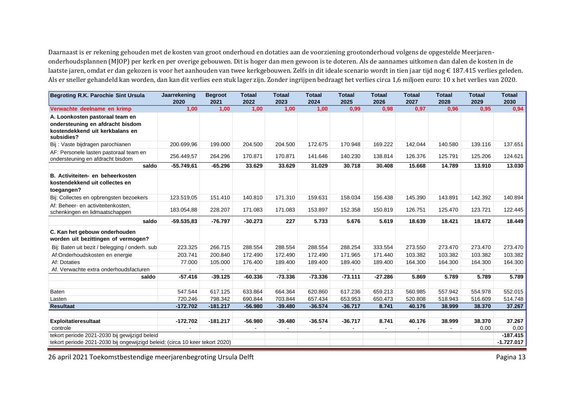Daarnaast is er rekening gehouden met de kosten van groot onderhoud en dotaties aan de voorziening grootonderhoud volgens de opgestelde Meerjarenonderhoudsplannen (MJOP) per kerk en per overige gebouwen. Dit is hoger dan men gewoon is te doteren. Als de aannames uitkomen dan dalen de kosten in de laatste jaren, omdat er dan gekozen is voor het aanhouden van twee kerkgebouwen. Zelfs in dit ideale scenario wordt in tien jaar tijd nog € 187.415 verlies geleden. Als er sneller gehandeld kan worden, dan kan dit verlies een stuk lager zijn. Zonder ingrijpen bedraagt het verlies circa 1,6 miljoen euro: 10 x het verlies van 2020.

| Begroting R.K. Parochie Sint Ursula                                                                                  | Jaarrekening<br>2020 | <b>Begroot</b><br>2021 | <b>Totaal</b><br>2022 | <b>Totaal</b><br>2023 | <b>Totaal</b><br>2024 | <b>Totaal</b><br>2025 | <b>Totaal</b><br>2026 | <b>Totaal</b><br>2027 | <b>Totaal</b><br>2028 | <b>Totaal</b><br>2029 | <b>Totaal</b><br>2030 |
|----------------------------------------------------------------------------------------------------------------------|----------------------|------------------------|-----------------------|-----------------------|-----------------------|-----------------------|-----------------------|-----------------------|-----------------------|-----------------------|-----------------------|
| Verwachte deelname en krimp                                                                                          | 1,00                 | 1,00                   | 1,00                  | 1,00                  | 1.00                  | 0,99                  | 0.98                  | 0,97                  | 0,96                  | 0,95                  | 0,94                  |
| A. Loonkosten pastoraal team en<br>ondersteuning en afdracht bisdom<br>kostendekkend uit kerkbalans en<br>subsidies? |                      |                        |                       |                       |                       |                       |                       |                       |                       |                       |                       |
| Bij : Vaste bijdragen parochianen                                                                                    | 200.699,96           | 199.000                | 204.500               | 204.500               | 172.675               | 170.948               | 169.222               | 142.044               | 140.580               | 139.116               | 137.651               |
| AF: Personele lasten pastoraal team en<br>ondersteuning en afdracht bisdom                                           | 256.449,57           | 264.296                | 170.871               | 170.871               | 141.646               | 140.230               | 138.814               | 126.376               | 125.791               | 125.206               | 124.621               |
| saldo                                                                                                                | $-55.749,61$         | $-65.296$              | 33.629                | 33.629                | 31.029                | 30.718                | 30.408                | 15.668                | 14.789                | 13.910                | 13.030                |
| B. Activiteiten- en beheerkosten<br>kostendekkend uit collectes en<br>toegangen?                                     |                      |                        |                       |                       |                       |                       |                       |                       |                       |                       |                       |
| Bij: Collectes en opbrengsten bezoekers                                                                              | 123.519,05           | 151.410                | 140.810               | 171.310               | 159.631               | 158.034               | 156.438               | 145.390               | 143.891               | 142.392               | 140.894               |
| Af: Beheer- en activiteitenkosten.<br>schenkingen en lidmaatschappen                                                 | 183.054,88           | 228.207                | 171.083               | 171.083               | 153.897               | 152.358               | 150.819               | 126.751               | 125.470               | 123.721               | 122.445               |
| saldo                                                                                                                | $-59.535,83$         | $-76.797$              | $-30.273$             | 227                   | 5.733                 | 5.676                 | 5.619                 | 18.639                | 18.421                | 18.672                | 18.449                |
| C. Kan het gebouw onderhouden<br>worden uit bezittingen of vermogen?                                                 |                      |                        |                       |                       |                       |                       |                       |                       |                       |                       |                       |
| Bij: Baten uit bezit / belegging / onderh. sub                                                                       | 223.325              | 266.715                | 288.554               | 288.554               | 288.554               | 288.254               | 333.554               | 273.550               | 273.470               | 273.470               | 273.470               |
| Af:Onderhoudskosten en energie                                                                                       | 203.741              | 200.840                | 172.490               | 172.490               | 172.490               | 171.965               | 171.440               | 103.382               | 103.382               | 103.382               | 103.382               |
| Af: Dotaties                                                                                                         | 77.000               | 105.000                | 176.400               | 189.400               | 189.400               | 189.400               | 189.400               | 164.300               | 164.300               | 164.300               | 164.300               |
| Af. Verwachte extra onderhoudsfacturen                                                                               |                      |                        |                       |                       |                       |                       |                       |                       |                       |                       |                       |
| saldo                                                                                                                | $-57.416$            | $-39.125$              | $-60.336$             | $-73.336$             | $-73.336$             | $-73.111$             | $-27.286$             | 5.869                 | 5.789                 | 5.789                 | 5.789                 |
| Baten                                                                                                                | 547.544              | 617.125                | 633.864               | 664.364               | 620.860               | 617.236               | 659.213               | 560.985               | 557.942               | 554.978               | 552.015               |
| Lasten                                                                                                               | 720.246              | 798.342                | 690.844               | 703.844               | 657.434               | 653.953               | 650.473               | 520.808               | 518.943               | 516.609               | 514.748               |
| <b>Resultaat</b>                                                                                                     | $-172.702$           | $-181.217$             | $-56.980$             | $-39.480$             | $-36.574$             | $-36.717$             | 8.741                 | 40.176                | 38.999                | 38,370                | 37.267                |
|                                                                                                                      |                      |                        |                       |                       |                       |                       |                       |                       |                       |                       |                       |
| Exploitatieresultaat                                                                                                 | $-172.702$           | $-181.217$             | $-56.980$             | $-39.480$             | $-36.574$             | $-36.717$             | 8.741                 | 40.176                | 38.999                | 38.370                | 37.267                |
| controle<br>tekort periode 2021-2030 bij gewijzigd beleid                                                            |                      |                        |                       |                       |                       |                       |                       |                       |                       | 0,00                  | 0,00<br>$-187.415$    |
| tekort periode 2021-2030 bij ongewijzigd beleid; (circa 10 keer tekort 2020)                                         |                      |                        |                       |                       |                       |                       |                       |                       |                       |                       | $-1.727.017$          |
|                                                                                                                      |                      |                        |                       |                       |                       |                       |                       |                       |                       |                       |                       |

26 april 2021 Toekomstbestendige meerjarenbegroting Ursula Delft **Pagina 13** and Pagina 13 and Pagina 13 and Pagina 13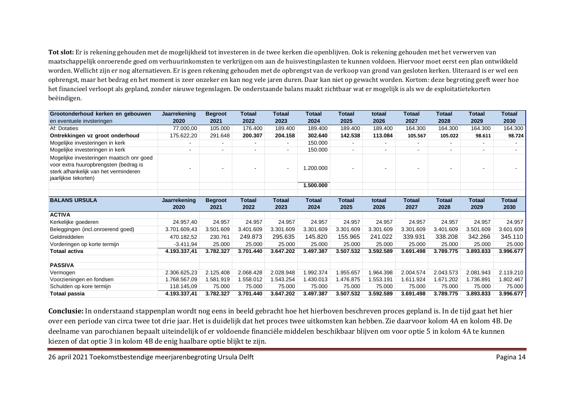**Tot slot:** Er is rekening gehouden met de mogelijkheid tot investeren in de twee kerken die openblijven. Ook is rekening gehouden met het verwerven van maatschappelijk onroerende goed om verhuurinkomsten te verkrijgen om aan de huisvestingslasten te kunnen voldoen. Hiervoor moet eerst een plan ontwikkeld worden. Wellicht zijn er nog alternatieven. Er is geen rekening gehouden met de opbrengst van de verkoop van grond van gesloten kerken. Uiteraard is er wel een opbrengst, maar het bedrag en het moment is zeer onzeker en kan nog vele jaren duren. Daar kan niet op gewacht worden. Kortom: deze begroting geeft weer hoe het financieel verloopt als gepland, zonder nieuwe tegenslagen. De onderstaande balans maakt zichtbaar wat er mogelijk is als we de exploitatietekorten beëindigen.

| Grootonderhoud kerken en gebouwen                             | Jaarrekening | <b>Begroot</b> | <b>Totaal</b> | <b>Totaal</b>  | <b>Totaal</b> | <b>Totaal</b> | totaal         | <b>Totaal</b> | <b>Totaal</b>            | <b>Totaal</b>            | <b>Totaal</b> |
|---------------------------------------------------------------|--------------|----------------|---------------|----------------|---------------|---------------|----------------|---------------|--------------------------|--------------------------|---------------|
| en eventuele invsteringen                                     | 2020         | 2021           | 2022          | 2023           | 2024          | 2025          | 2026           | 2027          | 2028                     | 2029                     | 2030          |
| Af: Dotaties                                                  | 77.000,00    | 105.000        | 176.400       | 189.400        | 189.400       | 189.400       | 189.400        | 164.300       | 164.300                  | 164.300                  | 164.300       |
| Ontrekkingen vz groot onderhoud                               | 175.622,20   | 291.648        | 200.307       | 204.158        | 302.640       | 142.538       | 113.084        | 105.567       | 105.022                  | 98.611                   | 98.724        |
| Mogelijke investeringen in kerk                               |              |                | $\sim$        | $\blacksquare$ | 150,000       |               |                |               |                          |                          |               |
| Mogelijke investeringen in kerk                               | ۰            | $\blacksquare$ | $\sim$        | $\blacksquare$ | 150.000       |               | $\blacksquare$ |               | $\overline{\phantom{0}}$ | $\overline{\phantom{0}}$ |               |
| Mogelijke investeringen maatsch onr goed                      |              |                |               |                |               |               |                |               |                          |                          |               |
| voor extra huuropbrengsten (bedrag is                         | ۰            |                |               | $\blacksquare$ | 1.200.000     |               |                |               |                          |                          |               |
| sterk afhankelijk van het verminderen<br>jaarlijkse tekorten) |              |                |               |                |               |               |                |               |                          |                          |               |
|                                                               |              |                |               |                | 1.500.000     |               |                |               |                          |                          |               |
|                                                               |              |                |               |                |               |               |                |               |                          |                          |               |
| <b>BALANS URSULA</b>                                          | Jaarrekening | <b>Begroot</b> | <b>Totaal</b> | <b>Totaal</b>  | <b>Totaal</b> | <b>Totaal</b> | totaal         | <b>Totaal</b> | <b>Totaal</b>            | <b>Totaal</b>            | <b>Totaal</b> |
|                                                               | 2020         | 2021           | 2022          | 2023           | 2024          | 2025          | 2026           | 2027          | 2028                     | 2029                     | 2030          |
| <b>ACTIVA</b>                                                 |              |                |               |                |               |               |                |               |                          |                          |               |
| Kerkelijke goederen                                           | 24.957,40    | 24.957         | 24.957        | 24.957         | 24.957        | 24.957        | 24.957         | 24.957        | 24.957                   | 24.957                   | 24.957        |
| Beleggingen (incl.onroerend goed)                             | 3.701.609,43 | 3.501.609      | 3.401.609     | 3.301.609      | 3.301.609     | 3.301.609     | 3.301.609      | 3.301.609     | 3.401.609                | 3.501.609                | 3.601.609     |
| Geldmiddelen                                                  | 470.182,52   | 230.761        | 249.873       | 295.635        | 145.820       | 155.965       | 241.022        | 339.931       | 338.208                  | 342.266                  | 345.110       |
| Vorderingen op korte termijn                                  | $-3.411,94$  | 25.000         | 25.000        | 25.000         | 25.000        | 25.000        | 25.000         | 25.000        | 25.000                   | 25.000                   | 25.000        |
| <b>Totaal activa</b>                                          | 4.193.337,41 | 3.782.327      | 3.701.440     | 3.647.202      | 3.497.387     | 3.507.532     | 3.592.589      | 3.691.498     | 3.789.775                | 3.893.833                | 3.996.677     |
|                                                               |              |                |               |                |               |               |                |               |                          |                          |               |
| <b>PASSIVA</b>                                                |              |                |               |                |               |               |                |               |                          |                          |               |
| Vermogen                                                      | 2.306.625,23 | 2.125.408      | 2.068.428     | 2.028.948      | 1.992.374     | 1.955.657     | 1.964.398      | 2.004.574     | 2.043.573                | 2.081.943                | 2.119.210     |
| Voorzieningen en fondsen                                      | 1.768.567,09 | 1.581.919      | 1.558.012     | 1.543.254      | 1.430.013     | 1.476.875     | 1.553.191      | 1.611.924     | 1.671.202                | 1.736.891                | 1.802.467     |
| Schulden op kore termijn                                      | 118.145.09   | 75.000         | 75.000        | 75.000         | 75.000        | 75.000        | 75.000         | 75.000        | 75.000                   | 75.000                   | 75.000        |
| Totaal passia                                                 | 4.193.337,41 | 3.782.327      | 3.701.440     | 3.647.202      | 3.497.387     | 3.507.532     | 3.592.589      | 3.691.498     | 3.789.775                | 3.893.833                | 3.996.677     |

**Conclusie:** In onderstaand stappenplan wordt nog eens in beeld gebracht hoe het hierboven beschreven proces gepland is. In de tijd gaat het hier over een periode van circa twee tot drie jaar. Het is duidelijk dat het proces twee uitkomsten kan hebben. Zie daarvoor kolom 4A en kolom 4B. De deelname van parochianen bepaalt uiteindelijk of er voldoende financiële middelen beschikbaar blijven om voor optie 5 in kolom 4A te kunnen kiezen of dat optie 3 in kolom 4B de enig haalbare optie blijkt te zijn.

26 april 2021 Toekomstbestendige meerjarenbegroting Ursula Delft **Pagina 14** and 2021 Toekomstbestendige meerjarenbegroting Ursula Delft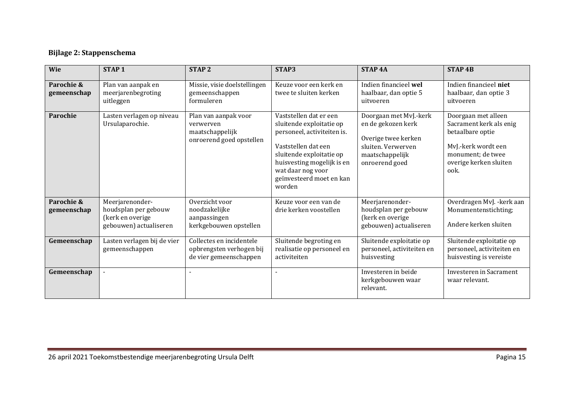## **Bijlage 2: Stappenschema**

| Wie                       | STAP <sub>1</sub>                                                                     | <b>STAP2</b>                                                                     | STAP3                                                                                                                                                                                                                         | <b>STAP4A</b>                                                                                                                  | <b>STAP4B</b>                                                                                                                                    |
|---------------------------|---------------------------------------------------------------------------------------|----------------------------------------------------------------------------------|-------------------------------------------------------------------------------------------------------------------------------------------------------------------------------------------------------------------------------|--------------------------------------------------------------------------------------------------------------------------------|--------------------------------------------------------------------------------------------------------------------------------------------------|
| Parochie &<br>gemeenschap | Plan van aanpak en<br>meerjarenbegroting<br>uitleggen                                 | Missie, visie doelstellingen<br>gemeenschappen<br>formuleren                     | Keuze voor een kerk en<br>twee te sluiten kerken                                                                                                                                                                              | Indien financieel wel<br>haalbaar, dan optie 5<br>uitvoeren                                                                    | Indien financieel niet<br>haalbaar, dan optie 3<br>uitvoeren                                                                                     |
| Parochie                  | Lasten verlagen op niveau<br>Ursulaparochie.                                          | Plan van aanpak voor<br>verwerven<br>maatschappelijk<br>onroerend goed opstellen | Vaststellen dat er een<br>sluitende exploitatie op<br>personeel, activiteiten is.<br>Vaststellen dat een<br>sluitende exploitatie op<br>huisvesting mogelijk is en<br>wat daar nog voor<br>geïnvesteerd moet en kan<br>worden | Doorgaan met MvJ.-kerk<br>en de gekozen kerk<br>Overige twee kerken<br>sluiten. Verwerven<br>maatschappelijk<br>onroerend goed | Doorgaan met alleen<br>Sacrament kerk als enig<br>betaalbare optie<br>MvJ.-kerk wordt een<br>monument; de twee<br>overige kerken sluiten<br>ook. |
| Parochie &<br>gemeenschap | Meerjarenonder-<br>houdsplan per gebouw<br>(kerk en overige<br>gebouwen) actualiseren | Overzicht voor<br>noodzakelijke<br>aanpassingen<br>kerkgebouwen opstellen        | Keuze voor een van de<br>drie kerken voostellen                                                                                                                                                                               | Meerjarenonder-<br>houdsplan per gebouw<br>(kerk en overige<br>gebouwen) actualiseren                                          | Overdragen MvJ. - kerk aan<br>Monumentenstichting;<br>Andere kerken sluiten                                                                      |
| Gemeenschap               | Lasten verlagen bij de vier<br>gemeenschappen                                         | Collectes en incidentele<br>opbrengsten verhogen bij<br>de vier gemeenschappen   | Sluitende begroting en<br>realisatie op personeel en<br>activiteiten                                                                                                                                                          | Sluitende exploitatie op<br>personeel, activiteiten en<br>huisvesting                                                          | Sluitende exploitatie op<br>personeel, activiteiten en<br>huisvesting is vereiste                                                                |
| Gemeenschap               |                                                                                       |                                                                                  |                                                                                                                                                                                                                               | Investeren in beide<br>kerkgebouwen waar<br>relevant.                                                                          | Investeren in Sacrament<br>waar relevant.                                                                                                        |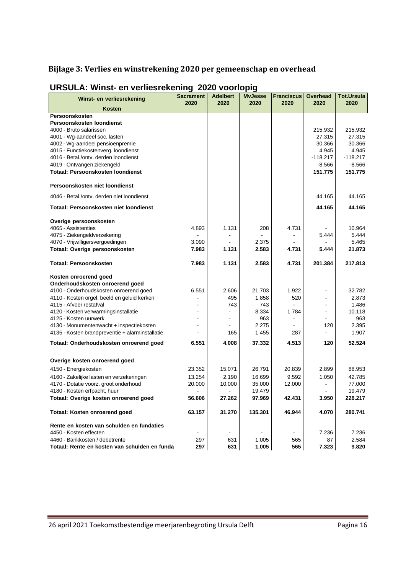## **Bijlage 3: Verlies en winstrekening 2020 per gemeenschap en overhead**

| Winst- en verliesrekening                                                     | <b>Sacrament</b> | <b>Adelbert</b> | <b>MvJesse</b> | <b>Franciscus</b> | Overhead            | <b>Tot.Ursula</b>   |
|-------------------------------------------------------------------------------|------------------|-----------------|----------------|-------------------|---------------------|---------------------|
| Kosten                                                                        | 2020             | 2020            | 2020           | 2020              | 2020                | 2020                |
| Persoonskosten                                                                |                  |                 |                |                   |                     |                     |
| Persoonskosten loondienst                                                     |                  |                 |                |                   |                     |                     |
| 4000 - Bruto salarissen                                                       |                  |                 |                |                   | 215.932             | 215.932             |
| 4001 - Wg-aandeel soc. lasten                                                 |                  |                 |                |                   | 27.315              | 27.315              |
| 4002 - Wg-aandeel pensioenpremie                                              |                  |                 |                |                   | 30.366              | 30.366              |
| 4015 - Functiekostenverg. loondienst<br>4016 - Betal./ontv. derden loondienst |                  |                 |                |                   | 4.945<br>$-118.217$ | 4.945<br>$-118.217$ |
| 4019 - Ontvangen ziekengeld                                                   |                  |                 |                |                   | $-8.566$            | $-8.566$            |
| Totaal: Persoonskosten loondienst                                             |                  |                 |                |                   | 151.775             | 151.775             |
|                                                                               |                  |                 |                |                   |                     |                     |
| Persoonskosten niet loondienst                                                |                  |                 |                |                   |                     |                     |
| 4046 - Betal./ontv. derden niet loondienst                                    |                  |                 |                |                   | 44.165              | 44.165              |
| Totaal: Persoonskosten niet loondienst                                        |                  |                 |                |                   | 44.165              | 44.165              |
| Overige persoonskosten                                                        |                  |                 |                |                   |                     |                     |
| 4065 - Assistenties                                                           | 4.893            | 1.131           | 208            | 4.731             |                     | 10.964              |
| 4075 - Ziekengeldverzekering                                                  |                  |                 |                |                   | 5.444               | 5.444               |
| 4070 - Vrijwilligersvergoedingen                                              | 3.090            |                 | 2.375          |                   |                     | 5.465               |
| Totaal: Overige persoonskosten                                                | 7.983            | 1.131           | 2.583          | 4.731             | 5.444               | 21.873              |
| <b>Totaal: Persoonskosten</b>                                                 | 7.983            | 1.131           | 2.583          | 4.731             | 201.384             | 217.813             |
| Kosten onroerend goed                                                         |                  |                 |                |                   |                     |                     |
| Onderhoudskosten onroerend goed                                               |                  |                 |                |                   |                     |                     |
| 4100 - Onderhoudskosten onroerend goed                                        | 6.551            | 2.606           | 21.703         | 1.922             |                     | 32.782              |
| 4110 - Kosten orgel, beeld en geluid kerken<br>4115 - Afvoer restafval        |                  | 495             | 1.858          | 520               |                     | 2.873               |
| 4120 - Kosten verwarmingsinstallatie                                          |                  | 743             | 743<br>8.334   | 1.784             |                     | 1.486<br>10.118     |
| 4125 - Kosten uurwerk                                                         |                  | $\blacksquare$  | 963            | $\blacksquare$    |                     | 963                 |
| 4130 - Monumentenwacht + inspectiekosten                                      |                  |                 | 2.275          |                   | 120                 | 2.395               |
| 4135 - Kosten brandpreventie + alarminstallatie                               |                  | 165             | 1.455          | 287               |                     | 1.907               |
| Totaal: Onderhoudskosten onroerend goed                                       | 6.551            | 4.008           | 37.332         | 4.513             | 120                 | 52.524              |
|                                                                               |                  |                 |                |                   |                     |                     |
| Overige kosten onroerend goed                                                 |                  |                 |                |                   |                     |                     |
| 4150 - Energiekosten                                                          | 23.352           | 15.071          | 26.791         | 20.839            | 2.899               | 88.953              |
| 4160 - Zakelijke lasten en verzekeringen                                      | 13.254           | 2.190           | 16.699         | 9.592             | 1.050               | 42.785              |
| 4170 - Dotatie voorz. groot onderhoud                                         | 20.000           | 10.000          | 35.000         | 12.000            |                     | 77.000              |
| 4180 - Kosten erfpacht, huur                                                  |                  |                 | 19.479         |                   |                     | 19.479              |
| Totaal: Overige kosten onroerend goed                                         | 56.606           | 27.262          | 97.969         | 42.431            | 3.950               | 228.217             |
| Totaal: Kosten onroerend goed                                                 | 63.157           | 31.270          | 135.301        | 46.944            | 4.070               | 280.741             |
| Rente en kosten van schulden en fundaties                                     |                  |                 |                |                   |                     |                     |
| 4450 - Kosten effecten                                                        | $\blacksquare$   | $\blacksquare$  |                | $\blacksquare$    | 7.236               | 7.236               |
| 4460 - Bankkosten / debetrente                                                | 297              | 631             | 1.005          | 565               | 87                  | 2.584               |
| Totaal: Rente en kosten van schulden en funda                                 | 297              | 631             | 1.005          | 565               | 7.323               | 9.820               |

### **URSULA: Winst- en verliesrekening 2020 voorlopig**

26 april 2021 Toekomstbestendige meerjarenbegroting Ursula Delft Pagina 16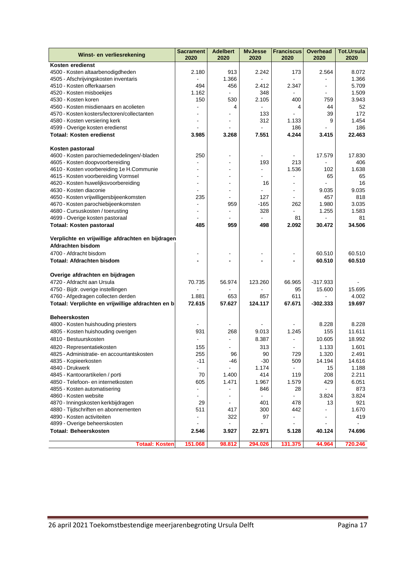| Winst- en verliesrekening                         | <b>Sacrament</b><br>2020 | <b>Adelbert</b><br>2020 | <b>MvJesse</b><br>2020 | <b>Franciscus</b><br>2020 | <b>Overhead</b><br>2020 | <b>Tot.Ursula</b><br>2020 |
|---------------------------------------------------|--------------------------|-------------------------|------------------------|---------------------------|-------------------------|---------------------------|
| Kosten eredienst                                  |                          |                         |                        |                           |                         |                           |
| 4500 - Kosten altaarbenodigdheden                 | 2.180                    | 913                     | 2.242                  | 173                       | 2.564                   | 8.072                     |
| 4505 - Afschrijvingskosten inventaris             |                          | 1.366                   | $\overline{a}$         |                           |                         | 1.366                     |
| 4510 - Kosten offerkaarsen                        | 494                      | 456                     | 2.412                  | 2.347                     | $\overline{a}$          | 5.709                     |
| 4520 - Kosten misboekjes                          | 1.162                    |                         | 348                    |                           |                         | 1.509                     |
| 4530 - Kosten koren                               | 150                      | 530                     | 2.105                  | 400                       | 759                     | 3.943                     |
| 4560 - Kosten misdienaars en acolieten            |                          | 4                       |                        | 4                         | 44                      | 52                        |
| 4570 - Kosten kosters/lectoren/collectanten       |                          |                         | 133                    |                           | 39                      | 172                       |
| 4580 - Kosten versiering kerk                     |                          |                         | 312                    | 1.133                     | 9                       | 1.454                     |
| 4599 - Overige kosten eredienst                   |                          |                         |                        | 186                       |                         | 186                       |
| <b>Totaal: Kosten eredienst</b>                   | 3.985                    | 3.268                   | 7.551                  | 4.244                     | 3.415                   | 22.463                    |
| Kosten pastoraal                                  |                          |                         |                        |                           |                         |                           |
| 4600 - Kosten parochiemededelingen/-bladen        | 250                      |                         | $\blacksquare$         |                           | 17.579                  | 17.830                    |
| 4605 - Kosten doopvoorbereiding                   |                          |                         | 193                    | 213                       |                         | 406                       |
| 4610 - Kosten voorbereiding 1e H.Communie         |                          |                         |                        | 1.536                     | 102                     | 1.638                     |
| 4615 - Kosten voorbereiding Vormsel               |                          |                         |                        |                           | 65                      | 65                        |
| 4620 - Kosten huwelijksvoorbereiding              | $\blacksquare$           |                         | 16                     | $\blacksquare$            |                         | 16                        |
| 4630 - Kosten diaconie                            |                          |                         |                        | $\overline{\phantom{a}}$  | 9.035                   | 9.035                     |
| 4650 - Kosten vrijwilligersbijeenkomsten          | 235                      |                         | 127                    |                           | 457                     | 818                       |
| 4670 - Kosten parochiebijeenkomsten               | ä,                       | 959                     | $-165$                 | 262                       | 1.980                   | 3.035                     |
| 4680 - Cursuskosten / toerusting                  |                          |                         | 328                    |                           | 1.255                   | 1.583                     |
| 4699 - Overige kosten pastoraal                   |                          |                         |                        | 81                        |                         | 81                        |
| <b>Totaal: Kosten pastoraal</b>                   | 485                      | 959                     | 498                    | 2.092                     | 30.472                  | 34.506                    |
| Verplichte en vrijwillige afdrachten en bijdragen |                          |                         |                        |                           |                         |                           |
| Afdrachten bisdom                                 |                          |                         |                        |                           |                         |                           |
| 4700 - Afdracht bisdom                            | $\overline{a}$           |                         |                        | $\overline{a}$            | 60.510                  | 60.510                    |
| <b>Totaal: Afdrachten bisdom</b>                  |                          |                         |                        |                           | 60.510                  | 60.510                    |
|                                                   |                          |                         |                        |                           |                         |                           |
| Overige afdrachten en bijdragen                   |                          |                         |                        |                           |                         |                           |
| 4720 - Afdracht aan Ursula                        | 70.735                   | 56.974                  | 123.260                | 66.965                    | $-317.933$              |                           |
| 4750 - Bijdr. overige instellingen                |                          |                         |                        | 95                        | 15.600                  | 15.695                    |
| 4760 - Afgedragen collecten derden                | 1.881                    | 653                     | 857                    | 611                       |                         | 4.002                     |
| Totaal: Verplichte en vrijwillige afdrachten en b | 72.615                   | 57.627                  | 124.117                | 67.671                    | $-302.333$              | 19.697                    |
| <b>Beheerskosten</b>                              |                          |                         |                        |                           |                         |                           |
| 4800 - Kosten huishouding priesters               |                          |                         |                        |                           | 8.228                   | 8.228                     |
| 4805 - Kosten huishouding overigen                | 931                      | 268                     | 9.013                  | 1.245                     | 155                     | 11.611                    |
| 4810 - Bestuurskosten                             |                          |                         | 8.387                  | $\blacksquare$            | 10.605                  | 18.992                    |
| 4820 - Representatiekosten                        | 155                      | $\overline{a}$          | 313                    | $\overline{a}$            | 1.133                   | 1.601                     |
| 4825 - Administratie- en accountantskosten        | 255                      | 96                      | 90                     | 729                       | 1.320                   | 2.491                     |
| 4835 - Kopieerkosten                              | -11                      | -46                     | $-30$                  | 509                       | 14.194                  | 14.616                    |
| 4840 - Drukwerk                                   | ÷,                       |                         | 1.174                  |                           | 15                      | 1.188                     |
| 4845 - Kantoorartikelen / porti                   | 70                       | 1.400                   | 414                    | 119                       | 208                     | 2.211                     |
| 4850 - Telefoon- en internetkosten                | 605                      | 1.471                   | 1.967                  | 1.579                     | 429                     | 6.051                     |
| 4855 - Kosten automatisering                      |                          |                         | 846                    | 28                        | $\blacksquare$          | 873                       |
| 4860 - Kosten website                             | $\blacksquare$           | $\overline{a}$          |                        |                           | 3.824                   | 3.824                     |
| 4870 - Inningskosten kerkbijdragen                | 29                       | $\blacksquare$          | 401                    | 478                       | 13                      | 921                       |
| 4880 - Tijdschriften en abonnementen              | 511                      | 417                     | 300                    | 442                       | $\overline{a}$          | 1.670                     |
| 4890 - Kosten activiteiten                        | $\frac{1}{2}$            | 322                     | 97                     |                           | ä,                      | 419                       |
| 4899 - Overige beheerskosten                      |                          |                         |                        |                           |                         |                           |
| <b>Totaal: Beheerskosten</b>                      | 2.546                    | 3.927                   | 22.971                 | 5.128                     | 40.124                  | 74.696                    |
| <b>Totaal: Kosten</b>                             | 151.068                  | 98.812                  | 294.026                | 131.375                   | 44.964                  | 720.246                   |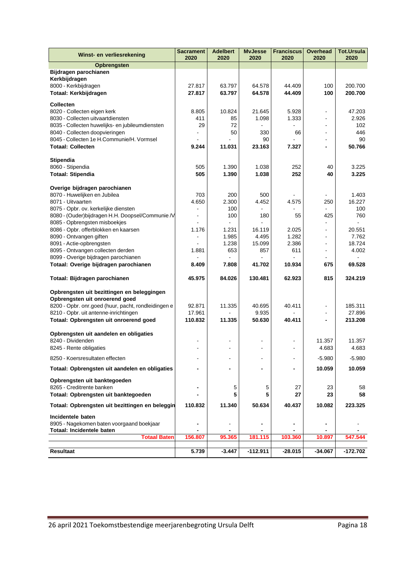| Winst- en verliesrekening                                                             | <b>Sacrament</b><br>2020 | <b>Adelbert</b><br>2020      | <b>MvJesse</b><br>2020 | <b>Franciscus</b><br>2020 | <b>Overhead</b><br>2020 | <b>Tot.Ursula</b><br>2020 |
|---------------------------------------------------------------------------------------|--------------------------|------------------------------|------------------------|---------------------------|-------------------------|---------------------------|
| Opbrengsten                                                                           |                          |                              |                        |                           |                         |                           |
| Bijdragen parochianen                                                                 |                          |                              |                        |                           |                         |                           |
| Kerkbijdragen                                                                         |                          |                              |                        |                           |                         |                           |
| 8000 - Kerkbijdragen                                                                  | 27.817                   | 63.797                       | 64.578                 | 44.409                    | 100                     | 200.700                   |
| Totaal: Kerkbijdragen                                                                 | 27.817                   | 63.797                       | 64.578                 | 44.409                    | 100                     | 200.700                   |
| <b>Collecten</b>                                                                      |                          |                              |                        |                           |                         |                           |
| 8020 - Collecten eigen kerk                                                           | 8.805                    | 10.824                       | 21.645                 | 5.928                     |                         | 47.203                    |
| 8030 - Collecten uitvaartdiensten                                                     | 411                      | 85                           | 1.098                  | 1.333                     | $\overline{a}$          | 2.926                     |
| 8035 - Collecten huwelijks- en jubileumdiensten                                       | 29                       | 72                           |                        |                           | L.                      | 102                       |
| 8040 - Collecten doopvieringen                                                        |                          | 50                           | 330                    | 66                        | $\blacksquare$          | 446                       |
| 8045 - Collecten 1e H.Communie/H. Vormsel                                             |                          | 11.031                       | 90<br>23.163           |                           |                         | 90<br>50.766              |
| <b>Totaal: Collecten</b>                                                              | 9.244                    |                              |                        | 7.327                     |                         |                           |
| Stipendia                                                                             |                          |                              |                        |                           |                         |                           |
| 8060 - Stipendia                                                                      | 505                      | 1.390                        | 1.038                  | 252                       | 40                      | 3.225                     |
| <b>Totaal: Stipendia</b>                                                              | 505                      | 1.390                        | 1.038                  | 252                       | 40                      | 3.225                     |
|                                                                                       |                          |                              |                        |                           |                         |                           |
| Overige bijdragen parochianen                                                         |                          |                              |                        |                           |                         |                           |
| 8070 - Huwelijken en Jubilea                                                          | 703                      | 200                          | 500                    |                           |                         | 1.403                     |
| 8071 - Uitvaarten                                                                     | 4.650                    | 2.300                        | 4.452                  | 4.575                     | 250                     | 16.227                    |
| 8075 - Opbr. ov. kerkelijke diensten                                                  |                          | 100                          |                        |                           |                         | 100                       |
| 8080 - (Ouder) bijdragen H.H. Doopsel/Communie /V                                     |                          | 100                          | 180                    | 55                        | 425                     | 760                       |
| 8085 - Opbrengsten misboekjes<br>8086 - Opbr. offerblokken en kaarsen                 | 1.176                    | 1.231                        | 16.119                 | 2.025                     | L.                      | 20.551                    |
| 8090 - Ontvangen giften                                                               |                          | 1.985                        | 4.495                  | 1.282                     | L,                      | 7.762                     |
| 8091 - Actie-opbrengsten                                                              |                          | 1.238                        | 15.099                 | 2.386                     |                         | 18.724                    |
| 8095 - Ontvangen collecten derden                                                     | 1.881                    | 653                          | 857                    | 611                       | Ĭ.                      | 4.002                     |
| 8099 - Overige bijdragen parochianen                                                  |                          |                              |                        |                           |                         |                           |
| Totaal: Overige bijdragen parochianen                                                 | 8.409                    | 7.808                        | 41.702                 | 10.934                    | 675                     | 69.528                    |
| Totaal: Bijdragen parochianen                                                         | 45.975                   | 84.026                       | 130.481                | 62.923                    | 815                     | 324.219                   |
| Opbrengsten uit bezittingen en beleggingen                                            |                          |                              |                        |                           |                         |                           |
| Opbrengsten uit onroerend goed<br>8200 - Opbr. onr.goed (huur, pacht, rondleidingen e | 92.871                   | 11.335                       | 40.695                 | 40.411                    |                         | 185.311                   |
| 8210 - Opbr. uit antenne-inrichtingen                                                 | 17.961                   |                              | 9.935                  |                           |                         | 27.896                    |
| Totaal: Opbrengsten uit onroerend goed                                                | 110.832                  | 11.335                       | 50.630                 | 40.411                    |                         | 213.208                   |
|                                                                                       |                          |                              |                        |                           |                         |                           |
| Opbrengsten uit aandelen en obligaties                                                |                          |                              |                        |                           |                         |                           |
| 8240 - Dividenden                                                                     |                          |                              |                        |                           | 11.357                  | 11.357                    |
| 8245 - Rente obligaties                                                               |                          |                              |                        | ä,                        | 4.683                   | 4.683                     |
| 8250 - Koersresultaten effecten                                                       |                          |                              |                        |                           | $-5.980$                | $-5.980$                  |
| Totaal: Opbrengsten uit aandelen en obligaties                                        |                          |                              |                        |                           | 10.059                  | 10.059                    |
| Opbrengsten uit banktegoeden                                                          |                          |                              |                        |                           |                         |                           |
| 8265 - Creditrente banken                                                             |                          | 5                            | 5                      | 27                        | 23                      | 58                        |
| Totaal: Opbrengsten uit banktegoeden                                                  |                          | 5                            | 5                      | 27                        | 23                      | 58                        |
| Totaal: Opbrengsten uit bezittingen en beleggin                                       | 110.832                  | 11.340                       | 50.634                 | 40.437                    | 10.082                  | 223.325                   |
| Incidentele baten                                                                     |                          |                              |                        |                           |                         |                           |
| 8905 - Nagekomen baten voorgaand boekjaar                                             |                          | $\qquad \qquad \blacksquare$ |                        | -                         |                         |                           |
| Totaal: Incidentele baten                                                             |                          |                              |                        |                           |                         |                           |
| <b>Totaal Baten</b>                                                                   | 156.807                  | 95.365                       | 181.115                | 103.360                   | 10.897                  | 547.544                   |
|                                                                                       |                          |                              |                        |                           |                         |                           |
| <b>Resultaat</b>                                                                      | 5.739                    | $-3.447$                     | $-112.911$             | $-28.015$                 | -34.067                 | $-172.702$                |